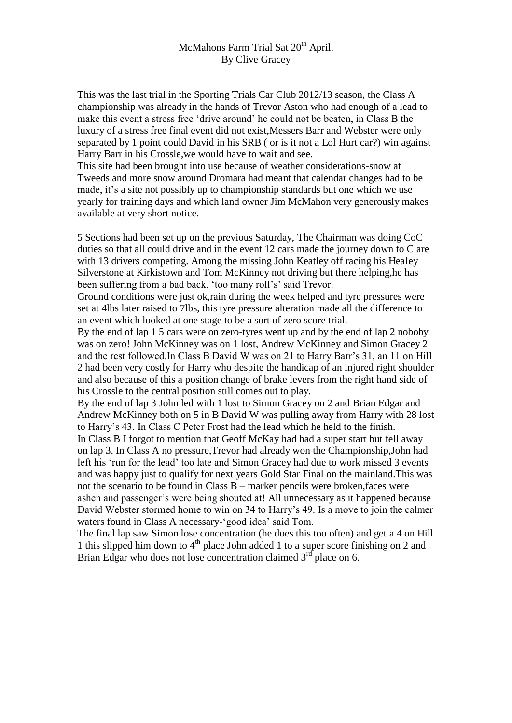## McMahons Farm Trial Sat 20<sup>th</sup> April. By Clive Gracey

This was the last trial in the Sporting Trials Car Club 2012/13 season, the Class A championship was already in the hands of Trevor Aston who had enough of a lead to make this event a stress free 'drive around' he could not be beaten, in Class B the luxury of a stress free final event did not exist,Messers Barr and Webster were only separated by 1 point could David in his SRB ( or is it not a Lol Hurt car?) win against Harry Barr in his Crossle,we would have to wait and see.

This site had been brought into use because of weather considerations-snow at Tweeds and more snow around Dromara had meant that calendar changes had to be made, it's a site not possibly up to championship standards but one which we use yearly for training days and which land owner Jim McMahon very generously makes available at very short notice.

5 Sections had been set up on the previous Saturday, The Chairman was doing CoC duties so that all could drive and in the event 12 cars made the journey down to Clare with 13 drivers competing. Among the missing John Keatley off racing his Healey Silverstone at Kirkistown and Tom McKinney not driving but there helping,he has been suffering from a bad back, 'too many roll's' said Trevor.

Ground conditions were just ok,rain during the week helped and tyre pressures were set at 4lbs later raised to 7lbs, this tyre pressure alteration made all the difference to an event which looked at one stage to be a sort of zero score trial.

By the end of lap 1 5 cars were on zero-tyres went up and by the end of lap 2 noboby was on zero! John McKinney was on 1 lost, Andrew McKinney and Simon Gracey 2 and the rest followed.In Class B David W was on 21 to Harry Barr's 31, an 11 on Hill 2 had been very costly for Harry who despite the handicap of an injured right shoulder and also because of this a position change of brake levers from the right hand side of his Crossle to the central position still comes out to play.

By the end of lap 3 John led with 1 lost to Simon Gracey on 2 and Brian Edgar and Andrew McKinney both on 5 in B David W was pulling away from Harry with 28 lost to Harry's 43. In Class C Peter Frost had the lead which he held to the finish.

In Class B I forgot to mention that Geoff McKay had had a super start but fell away on lap 3. In Class A no pressure,Trevor had already won the Championship,John had left his 'run for the lead' too late and Simon Gracey had due to work missed 3 events and was happy just to qualify for next years Gold Star Final on the mainland.This was not the scenario to be found in Class B – marker pencils were broken,faces were ashen and passenger's were being shouted at! All unnecessary as it happened because David Webster stormed home to win on 34 to Harry's 49. Is a move to join the calmer waters found in Class A necessary-'good idea' said Tom.

The final lap saw Simon lose concentration (he does this too often) and get a 4 on Hill 1 this slipped him down to  $4<sup>th</sup>$  place John added 1 to a super score finishing on 2 and Brian Edgar who does not lose concentration claimed  $3<sup>rd</sup>$  place on 6.